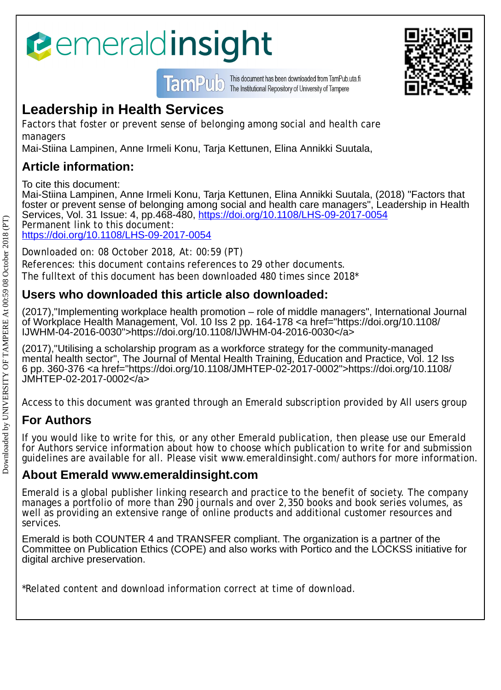# *<u><b>e*emeraldinsight</u>





**TamPU** This document has been downloaded from TamPub.uta.fi<br>TamPU **D** The Institutional Repository of University of Tampere

## **Leadership in Health Services**

Factors that foster or prevent sense of belonging among social and health care managers

Mai-Stiina Lampinen, Anne Irmeli Konu, Tarja Kettunen, Elina Annikki Suutala,

## **Article information:**

To cite this document:

Mai-Stiina Lampinen, Anne Irmeli Konu, Tarja Kettunen, Elina Annikki Suutala, (2018) "Factors that foster or prevent sense of belonging among social and health care managers", Leadership in Health Services, Vol. 31 Issue: 4, pp.468-480,<https://doi.org/10.1108/LHS-09-2017-0054> Permanent link to this document: <https://doi.org/10.1108/LHS-09-2017-0054>

Downloaded on: 08 October 2018, At: 00:59 (PT)

References: this document contains references to 29 other documents. The fulltext of this document has been downloaded 480 times since 2018\*

## **Users who downloaded this article also downloaded:**

(2017),"Implementing workplace health promotion – role of middle managers", International Journal of Workplace Health Management, Vol. 10 Iss 2 pp. 164-178 <a href="https://doi.org/10.1108/ IJWHM-04-2016-0030">https://doi.org/10.1108/IJWHM-04-2016-0030</a>

(2017),"Utilising a scholarship program as a workforce strategy for the community-managed mental health sector", The Journal of Mental Health Training, Education and Practice, Vol. 12 Iss 6 pp. 360-376 <a href="https://doi.org/10.1108/JMHTEP-02-2017-0002">https://doi.org/10.1108/ JMHTEP-02-2017-0002</a>

Access to this document was granted through an Emerald subscription provided by All users group

## **For Authors**

If you would like to write for this, or any other Emerald publication, then please use our Emerald for Authors service information about how to choose which publication to write for and submission guidelines are available for all. Please visit www.emeraldinsight.com/authors for more information.

### **About Emerald www.emeraldinsight.com**

Emerald is a global publisher linking research and practice to the benefit of society. The company manages a portfolio of more than 290 journals and over 2,350 books and book series volumes, as well as providing an extensive range of online products and additional customer resources and services.

Emerald is both COUNTER 4 and TRANSFER compliant. The organization is a partner of the Committee on Publication Ethics (COPE) and also works with Portico and the LOCKSS initiative for digital archive preservation.

\*Related content and download information correct at time of download.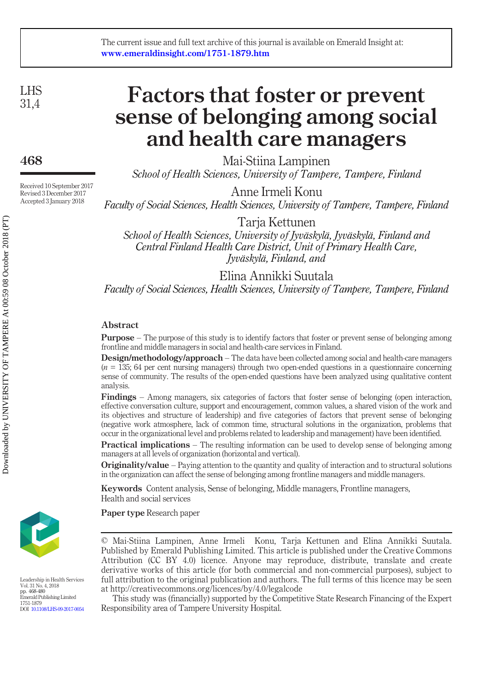LHS 31,4

468

Received 10 September 2017 Revised 3 December 2017 Accepted 3 January 2018

## Factors that foster or prevent sense of belonging among social and health care managers

Mai-Stiina Lampinen School of Health Sciences, University of Tampere, Tampere, Finland

Anne Irmeli Konu Faculty of Social Sciences, Health Sciences, University of Tampere, Tampere, Finland

Tarja Kettunen School of Health Sciences, University of Jyväskylä, Jyväskylä, Finland and Central Finland Health Care District, Unit of Primary Health Care, Jyväskylä, Finland, and

Elina Annikki Suutala

Faculty of Social Sciences, Health Sciences, University of Tampere, Tampere, Finland

#### Abstract

Purpose – The purpose of this study is to identify factors that foster or prevent sense of belonging among frontline and middle managers in social and health-care services in Finland.

Design/methodology/approach – The data have been collected among social and health-care managers  $(n = 135; 64$  per cent nursing managers) through two open-ended questions in a questionnaire concerning sense of community. The results of the open-ended questions have been analyzed using qualitative content analysis.

Findings – Among managers, six categories of factors that foster sense of belonging (open interaction, effective conversation culture, support and encouragement, common values, a shared vision of the work and its objectives and structure of leadership) and five categories of factors that prevent sense of belonging (negative work atmosphere, lack of common time, structural solutions in the organization, problems that occur in the organizational level and problems related to leadership and management) have been identified.

Practical implications – The resulting information can be used to develop sense of belonging among managers at all levels of organization (horizontal and vertical).

Originality/value – Paying attention to the quantity and quality of interaction and to structural solutions in the organization can affect the sense of belonging among frontline managers and middle managers.

Keywords Content analysis, Sense of belonging, Middle managers, Frontline managers, Health and social services

Paper type Research paper



Leadership in Health Services Vol. 31 No. 4, 2018 pp. 468-480 Emerald Publishing Limited 1751-1879 DOI [10.1108/LHS-09-2017-0054](http://dx.doi.org/10.1108/LHS-09-2017-0054)

© Mai-Stiina Lampinen, Anne Irmeli Konu, Tarja Kettunen and Elina Annikki Suutala. Published by Emerald Publishing Limited. This article is published under the Creative Commons Attribution (CC BY 4.0) licence. Anyone may reproduce, distribute, translate and create derivative works of this article (for both commercial and non-commercial purposes), subject to full attribution to the original publication and authors. The full terms of this licence may be seen at http://creativecommons.org/licences/by/4.0/legalcode

This study was (financially) supported by the Competitive State Research Financing of the Expert Responsibility area of Tampere University Hospital.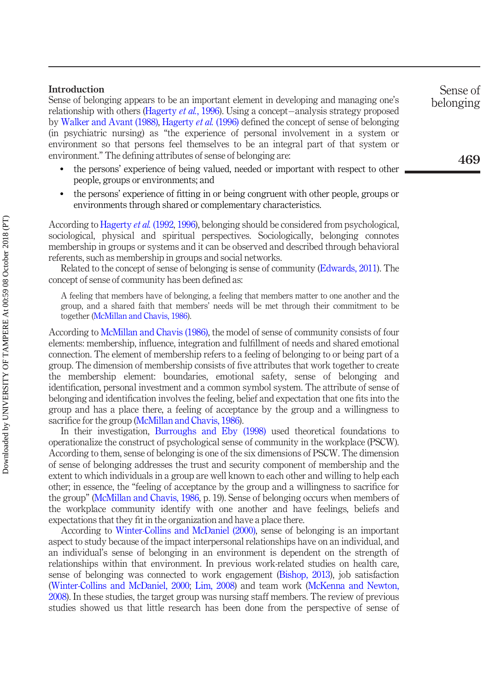#### Introduction

Sense of belonging appears to be an important element in developing and managing one's relationship with others [\(Hagerty](#page-12-0) *et al.*, 1996). Using a concept-analysis strategy proposed by [Walker and Avant \(1988\),](#page-13-0) [Hagerty](#page-12-0) et al. (1996) defined the concept of sense of belonging (in psychiatric nursing) as "the experience of personal involvement in a system or environment so that persons feel themselves to be an integral part of that system or environment." The defining attributes of sense of belonging are:

- the persons' experience of being valued, needed or important with respect to other people, groups or environments; and
- the persons' experience of fitting in or being congruent with other people, groups or environments through shared or complementary characteristics.

According to [Hagerty](#page-12-1) et al. (1992, [1996](#page-12-0)), belonging should be considered from psychological, sociological, physical and spiritual perspectives. Sociologically, belonging connotes membership in groups or systems and it can be observed and described through behavioral referents, such as membership in groups and social networks.

Related to the concept of sense of belonging is sense of community [\(Edwards, 2011](#page-12-2)). The concept of sense of community has been defined as:

A feeling that members have of belonging, a feeling that members matter to one another and the group, and a shared faith that members' needs will be met through their commitment to be together [\(McMillan and Chavis, 1986\)](#page-13-1).

According to [McMillan and Chavis \(1986\),](#page-13-1) the model of sense of community consists of four elements: membership, influence, integration and fulfillment of needs and shared emotional connection. The element of membership refers to a feeling of belonging to or being part of a group. The dimension of membership consists of five attributes that work together to create the membership element: boundaries, emotional safety, sense of belonging and identification, personal investment and a common symbol system. The attribute of sense of belonging and identification involves the feeling, belief and expectation that one fits into the group and has a place there, a feeling of acceptance by the group and a willingness to sacrifice for the group [\(McMillan and Chavis, 1986\)](#page-13-1).

In their investigation, [Burroughs and Eby \(1998\)](#page-12-3) used theoretical foundations to operationalize the construct of psychological sense of community in the workplace (PSCW). According to them, sense of belonging is one of the six dimensions of PSCW. The dimension of sense of belonging addresses the trust and security component of membership and the extent to which individuals in a group are well known to each other and willing to help each other; in essence, the "feeling of acceptance by the group and a willingness to sacrifice for the group" [\(McMillan and Chavis, 1986,](#page-13-1) p. 19). Sense of belonging occurs when members of the workplace community identify with one another and have feelings, beliefs and expectations that they fit in the organization and have a place there.

According to [Winter-Collins and McDaniel \(2000\),](#page-13-2) sense of belonging is an important aspect to study because of the impact interpersonal relationships have on an individual, and an individual's sense of belonging in an environment is dependent on the strength of relationships within that environment. In previous work-related studies on health care, sense of belonging was connected to work engagement [\(Bishop, 2013](#page-12-4)), job satisfaction [\(Winter-Collins and McDaniel, 2000;](#page-13-2) [Lim, 2008\)](#page-12-5) and team work ([McKenna and Newton,](#page-13-3) [2008\)](#page-13-3). In these studies, the target group was nursing staff members. The review of previous studies showed us that little research has been done from the perspective of sense of

Sense of belonging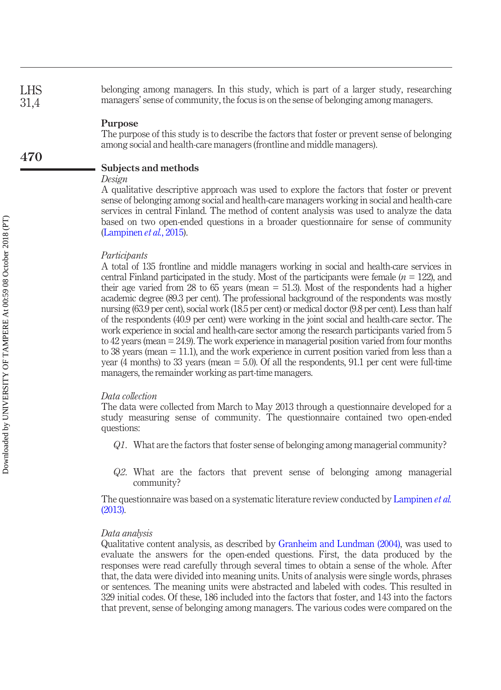belonging among managers. In this study, which is part of a larger study, researching managers' sense of community, the focus is on the sense of belonging among managers. LHS 31,4

#### Purpose

The purpose of this study is to describe the factors that foster or prevent sense of belonging among social and health-care managers (frontline and middle managers).

#### Subjects and methods

#### Design

A qualitative descriptive approach was used to explore the factors that foster or prevent sense of belonging among social and health-care managers working in social and health-care services in central Finland. The method of content analysis was used to analyze the data based on two open-ended questions in a broader questionnaire for sense of community [\(Lampinen](#page-12-6) et al., 2015).

#### **Participants**

A total of 135 frontline and middle managers working in social and health-care services in central Finland participated in the study. Most of the participants were female ( $n = 122$ ), and their age varied from 28 to 65 years (mean = 51.3). Most of the respondents had a higher academic degree (89.3 per cent). The professional background of the respondents was mostly nursing (63.9 per cent), social work (18.5 per cent) or medical doctor (9.8 per cent). Less than half of the respondents (40.9 per cent) were working in the joint social and health-care sector. The work experience in social and health-care sector among the research participants varied from 5 to 42 years (mean = 24.9). The work experience in managerial position varied from four months to 38 years (mean = 11.1), and the work experience in current position varied from less than a year (4 months) to 33 years (mean  $=$  5.0). Of all the respondents, 91.1 per cent were full-time managers, the remainder working as part-time managers.

#### Data collection

The data were collected from March to May 2013 through a questionnaire developed for a study measuring sense of community. The questionnaire contained two open-ended questions:

- Q1. What are the factors that foster sense of belonging among managerial community?
- Q2. What are the factors that prevent sense of belonging among managerial community?

The questionnaire was based on a systematic literature review conducted by [Lampinen](#page-12-7) *et al.* [\(2013\)](#page-12-7).

#### Data analysis

Qualitative content analysis, as described by [Granheim and Lundman \(2004\)](#page-12-8), was used to evaluate the answers for the open-ended questions. First, the data produced by the responses were read carefully through several times to obtain a sense of the whole. After that, the data were divided into meaning units. Units of analysis were single words, phrases or sentences. The meaning units were abstracted and labeled with codes. This resulted in 329 initial codes. Of these, 186 included into the factors that foster, and 143 into the factors that prevent, sense of belonging among managers. The various codes were compared on the

470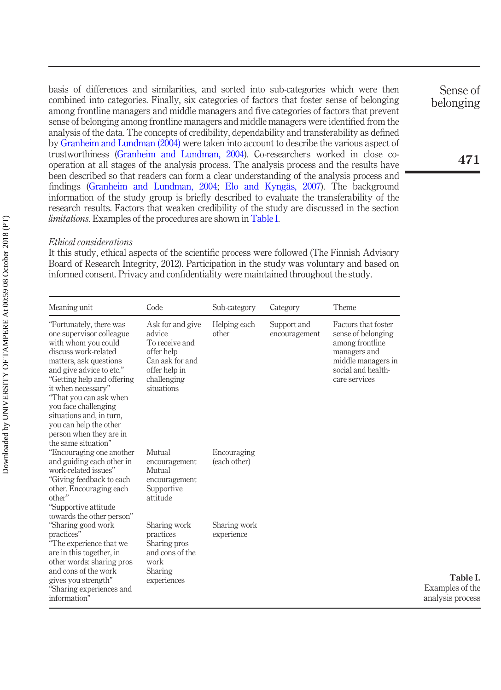basis of differences and similarities, and sorted into sub-categories which were then combined into categories. Finally, six categories of factors that foster sense of belonging among frontline managers and middle managers and five categories of factors that prevent sense of belonging among frontline managers and middle managers were identified from the analysis of the data. The concepts of credibility, dependability and transferability as defined by [Granheim and Lundman \(2004\)](#page-12-8) were taken into account to describe the various aspect of trustworthiness ([Granheim and Lundman, 2004\)](#page-12-8). Co-researchers worked in close cooperation at all stages of the analysis process. The analysis process and the results have been described so that readers can form a clear understanding of the analysis process and findings ([Granheim and Lundman, 2004](#page-12-8); [Elo and Kyngäs, 2007\)](#page-12-9). The background information of the study group is briefly described to evaluate the transferability of the research results. Factors that weaken credibility of the study are discussed in the section *limitations*. Examples of the procedures are shown in [Table I.](#page-4-0)

#### Ethical considerations

It this study, ethical aspects of the scientific process were followed (The Finnish Advisory Board of Research Integrity, 2012). Participation in the study was voluntary and based on informed consent. Privacy and confidentiality were maintained throughout the study.

<span id="page-4-0"></span>

| Meaning unit                                                                                                                                                                                                                                                                                                                                                            | Code                                                                                                                        | Sub-category                | Category                     | Theme                                                                                                                                     |                                                 |
|-------------------------------------------------------------------------------------------------------------------------------------------------------------------------------------------------------------------------------------------------------------------------------------------------------------------------------------------------------------------------|-----------------------------------------------------------------------------------------------------------------------------|-----------------------------|------------------------------|-------------------------------------------------------------------------------------------------------------------------------------------|-------------------------------------------------|
| "Fortunately, there was<br>one supervisor colleague<br>with whom you could<br>discuss work-related<br>matters, ask questions<br>and give advice to etc."<br>"Getting help and offering"<br>it when necessary"<br>"That you can ask when<br>you face challenging<br>situations and, in turn,<br>you can help the other<br>person when they are in<br>the same situation" | Ask for and give<br>advice<br>To receive and<br>offer help<br>Can ask for and<br>offer help in<br>challenging<br>situations | Helping each<br>other       | Support and<br>encouragement | Factors that foster<br>sense of belonging<br>among frontline<br>managers and<br>middle managers in<br>social and health-<br>care services |                                                 |
| "Encouraging one another<br>and guiding each other in<br>work-related issues"<br>"Giving feedback to each<br>other. Encouraging each<br>other"<br>"Supportive attitude<br>towards the other person"                                                                                                                                                                     | Mutual<br>encouragement<br>Mutual<br>encouragement<br>Supportive<br>attitude                                                | Encouraging<br>(each other) |                              |                                                                                                                                           |                                                 |
| "Sharing good work<br>practices"<br>"The experience that we<br>are in this together, in<br>other words: sharing pros<br>and cons of the work<br>gives you strength"<br>"Sharing experiences and<br>information"                                                                                                                                                         | Sharing work<br>practices<br>Sharing pros<br>and cons of the<br>work<br>Sharing<br>experiences                              | Sharing work<br>experience  |                              |                                                                                                                                           | Table I.<br>Examples of the<br>analysis process |

Sense of belonging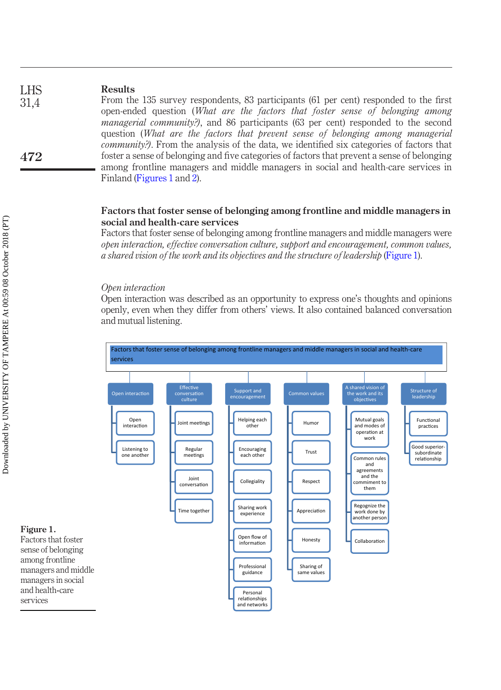#### **Results** LHS

From the 135 survey respondents, 83 participants (61 per cent) responded to the first open-ended question (What are the factors that foster sense of belonging among managerial community?), and 86 participants (63 per cent) responded to the second question (What are the factors that prevent sense of belonging among managerial community?). From the analysis of the data, we identified six categories of factors that foster a sense of belonging and five categories of factors that prevent a sense of belonging among frontline managers and middle managers in social and health-care services in Finland ([Figures 1](#page-5-0) and [2\)](#page-6-0).

#### Factors that foster sense of belonging among frontline and middle managers in social and health-care services

Factors that foster sense of belonging among frontline managers and middle managers were open interaction, effective conversation culture, support and encouragement, common values, a shared vision of the work and its objectives and the structure of leadership [\(Figure 1\)](#page-5-0).

#### Open interaction

Open interaction was described as an opportunity to express one's thoughts and opinions openly, even when they differ from others' views. It also contained balanced conversation and mutual listening.



472

31,4

<span id="page-5-0"></span>Figure 1.

services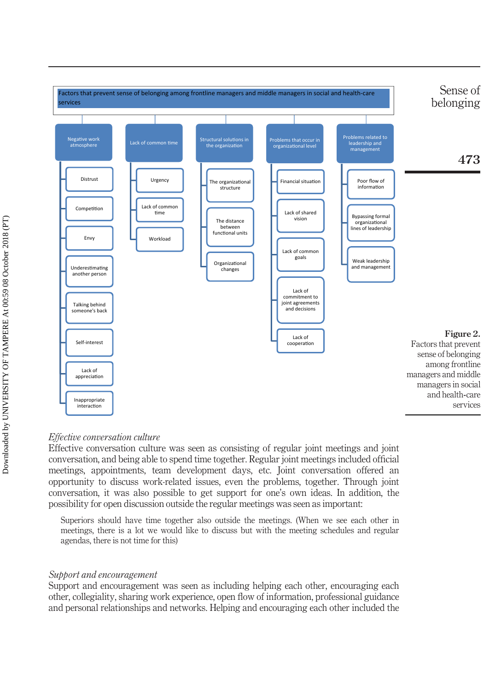

#### <span id="page-6-0"></span>Effective conversation culture

Effective conversation culture was seen as consisting of regular joint meetings and joint conversation, and being able to spend time together. Regular joint meetings included official meetings, appointments, team development days, etc. Joint conversation offered an opportunity to discuss work-related issues, even the problems, together. Through joint conversation, it was also possible to get support for one's own ideas. In addition, the possibility for open discussion outside the regular meetings was seen as important:

Superiors should have time together also outside the meetings. (When we see each other in meetings, there is a lot we would like to discuss but with the meeting schedules and regular agendas, there is not time for this)

#### Support and encouragement

Support and encouragement was seen as including helping each other, encouraging each other, collegiality, sharing work experience, open flow of information, professional guidance and personal relationships and networks. Helping and encouraging each other included the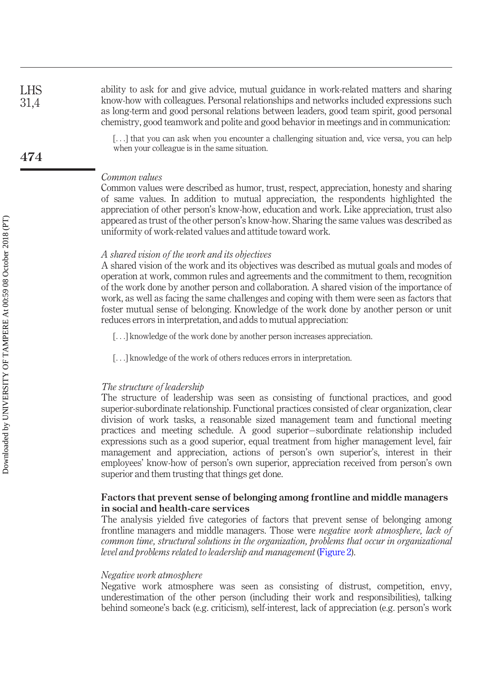ability to ask for and give advice, mutual guidance in work-related matters and sharing know-how with colleagues. Personal relationships and networks included expressions such as long-term and good personal relations between leaders, good team spirit, good personal chemistry, good teamwork and polite and good behavior in meetings and in communication: LHS 31,4

> [...] that you can ask when you encounter a challenging situation and, vice versa, you can help when your colleague is in the same situation.

#### Common values

Common values were described as humor, trust, respect, appreciation, honesty and sharing of same values. In addition to mutual appreciation, the respondents highlighted the appreciation of other person's know-how, education and work. Like appreciation, trust also appeared as trust of the other person's know-how. Sharing the same values was described as uniformity of work-related values and attitude toward work.

#### A shared vision of the work and its objectives

A shared vision of the work and its objectives was described as mutual goals and modes of operation at work, common rules and agreements and the commitment to them, recognition of the work done by another person and collaboration. A shared vision of the importance of work, as well as facing the same challenges and coping with them were seen as factors that foster mutual sense of belonging. Knowledge of the work done by another person or unit reduces errors in interpretation, and adds to mutual appreciation:

[...] knowledge of the work done by another person increases appreciation.

[...] knowledge of the work of others reduces errors in interpretation.

#### The structure of leadership

The structure of leadership was seen as consisting of functional practices, and good superior-subordinate relationship. Functional practices consisted of clear organization, clear division of work tasks, a reasonable sized management team and functional meeting practices and meeting schedule. A good superior-subordinate relationship included expressions such as a good superior, equal treatment from higher management level, fair management and appreciation, actions of person's own superior's, interest in their employees' know-how of person's own superior, appreciation received from person's own superior and them trusting that things get done.

#### Factors that prevent sense of belonging among frontline and middle managers in social and health-care services

The analysis yielded five categories of factors that prevent sense of belonging among frontline managers and middle managers. Those were negative work atmosphere, lack of common time, structural solutions in the organization, problems that occur in organizational level and problems related to leadership and management ([Figure 2\)](#page-6-0).

#### Negative work atmosphere

Negative work atmosphere was seen as consisting of distrust, competition, envy, underestimation of the other person (including their work and responsibilities), talking behind someone's back (e.g. criticism), self-interest, lack of appreciation (e.g. person's work

474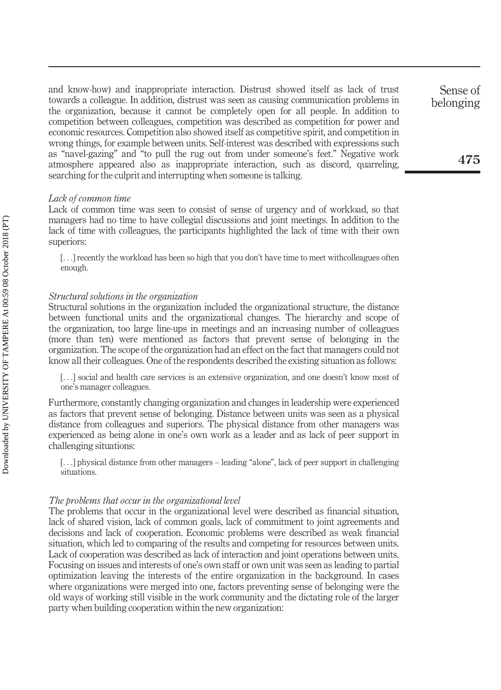and know-how) and inappropriate interaction. Distrust showed itself as lack of trust towards a colleague. In addition, distrust was seen as causing communication problems in the organization, because it cannot be completely open for all people. In addition to competition between colleagues, competition was described as competition for power and economic resources. Competition also showed itself as competitive spirit, and competition in wrong things, for example between units. Self-interest was described with expressions such as "navel-gazing" and "to pull the rug out from under someone's feet." Negative work atmosphere appeared also as inappropriate interaction, such as discord, quarreling, searching for the culprit and interrupting when someone is talking.

#### Lack of common time

Lack of common time was seen to consist of sense of urgency and of workload, so that managers had no time to have collegial discussions and joint meetings. In addition to the lack of time with colleagues, the participants highlighted the lack of time with their own superiors:

[...] recently the workload has been so high that you don't have time to meet withcolleagues often enough.

#### Structural solutions in the organization

Structural solutions in the organization included the organizational structure, the distance between functional units and the organizational changes. The hierarchy and scope of the organization, too large line-ups in meetings and an increasing number of colleagues (more than ten) were mentioned as factors that prevent sense of belonging in the organization. The scope of the organization had an effect on the fact that managers could not know all their colleagues. One of the respondents described the existing situation as follows:

[...] social and health care services is an extensive organization, and one doesn't know most of one's manager colleagues.

Furthermore, constantly changing organization and changes in leadership were experienced as factors that prevent sense of belonging. Distance between units was seen as a physical distance from colleagues and superiors. The physical distance from other managers was experienced as being alone in one's own work as a leader and as lack of peer support in challenging situations:

[...] physical distance from other managers – leading "alone", lack of peer support in challenging situations.

#### The problems that occur in the organizational level

The problems that occur in the organizational level were described as financial situation, lack of shared vision, lack of common goals, lack of commitment to joint agreements and decisions and lack of cooperation. Economic problems were described as weak financial situation, which led to comparing of the results and competing for resources between units. Lack of cooperation was described as lack of interaction and joint operations between units. Focusing on issues and interests of one's own staff or own unit was seen as leading to partial optimization leaving the interests of the entire organization in the background. In cases where organizations were merged into one, factors preventing sense of belonging were the old ways of working still visible in the work community and the dictating role of the larger party when building cooperation within the new organization: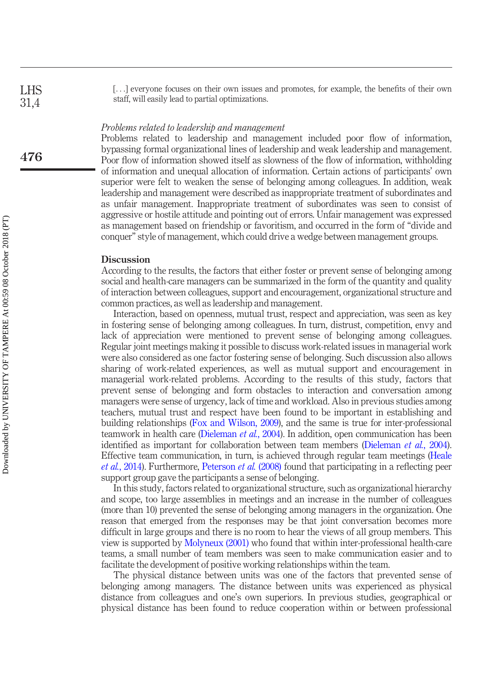[...] everyone focuses on their own issues and promotes, for example, the benefits of their own staff, will easily lead to partial optimizations.

#### Problems related to leadership and management

Problems related to leadership and management included poor flow of information, bypassing formal organizational lines of leadership and weak leadership and management. Poor flow of information showed itself as slowness of the flow of information, withholding of information and unequal allocation of information. Certain actions of participants' own superior were felt to weaken the sense of belonging among colleagues. In addition, weak leadership and management were described as inappropriate treatment of subordinates and as unfair management. Inappropriate treatment of subordinates was seen to consist of aggressive or hostile attitude and pointing out of errors. Unfair management was expressed as management based on friendship or favoritism, and occurred in the form of "divide and conquer" style of management, which could drive a wedge between management groups.

#### **Discussion**

According to the results, the factors that either foster or prevent sense of belonging among social and health-care managers can be summarized in the form of the quantity and quality of interaction between colleagues, support and encouragement, organizational structure and common practices, as well as leadership and management.

Interaction, based on openness, mutual trust, respect and appreciation, was seen as key in fostering sense of belonging among colleagues. In turn, distrust, competition, envy and lack of appreciation were mentioned to prevent sense of belonging among colleagues. Regular joint meetings making it possible to discuss work-related issues in managerial work were also considered as one factor fostering sense of belonging. Such discussion also allows sharing of work-related experiences, as well as mutual support and encouragement in managerial work-related problems. According to the results of this study, factors that prevent sense of belonging and form obstacles to interaction and conversation among managers were sense of urgency, lack of time and workload. Also in previous studies among teachers, mutual trust and respect have been found to be important in establishing and building relationships [\(Fox and Wilson, 2009](#page-12-10)), and the same is true for inter-professional teamwork in health care ([Dieleman](#page-12-11) *et al.*, 2004). In addition, open communication has been identified as important for collaboration between team members ([Dieleman](#page-12-11) et al., 2004). Effective team communication, in turn, is achieved through regular team meetings ([Heale](#page-12-12) et al.[, 2014\)](#page-12-12). Furthermore, [Peterson](#page-13-4) et al. (2008) found that participating in a reflecting peer support group gave the participants a sense of belonging.

In this study, factors related to organizational structure, such as organizational hierarchy and scope, too large assemblies in meetings and an increase in the number of colleagues (more than 10) prevented the sense of belonging among managers in the organization. One reason that emerged from the responses may be that joint conversation becomes more difficult in large groups and there is no room to hear the views of all group members. This view is supported by [Molyneux \(2001\)](#page-13-5) who found that within inter-professional health-care teams, a small number of team members was seen to make communication easier and to facilitate the development of positive working relationships within the team.

The physical distance between units was one of the factors that prevented sense of belonging among managers. The distance between units was experienced as physical distance from colleagues and one's own superiors. In previous studies, geographical or physical distance has been found to reduce cooperation within or between professional

LHS 31,4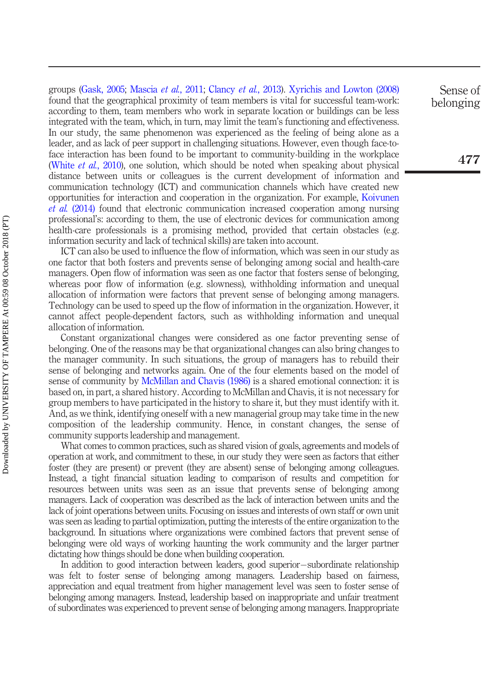groups [\(Gask, 2005;](#page-12-13) [Mascia](#page-12-14) et al., 2011; [Clancy](#page-12-15) et al., 2013). [Xyrichis and Lowton \(2008\)](#page-13-6) found that the geographical proximity of team members is vital for successful team-work: according to them, team members who work in separate location or buildings can be less integrated with the team, which, in turn, may limit the team's functioning and effectiveness. In our study, the same phenomenon was experienced as the feeling of being alone as a leader, and as lack of peer support in challenging situations. However, even though face-toface interaction has been found to be important to community-building in the workplace [\(White](#page-13-7) et al., 2010), one solution, which should be noted when speaking about physical distance between units or colleagues is the current development of information and communication technology (ICT) and communication channels which have created new opportunities for interaction and cooperation in the organization. For example, [Koivunen](#page-12-16) et al. [\(2014\)](#page-12-16) found that electronic communication increased cooperation among nursing professional's: according to them, the use of electronic devices for communication among health-care professionals is a promising method, provided that certain obstacles (e.g. information security and lack of technical skills) are taken into account.

ICT can also be used to influence the flow of information, which was seen in our study as one factor that both fosters and prevents sense of belonging among social and health-care managers. Open flow of information was seen as one factor that fosters sense of belonging, whereas poor flow of information (e.g. slowness), withholding information and unequal allocation of information were factors that prevent sense of belonging among managers. Technology can be used to speed up the flow of information in the organization. However, it cannot affect people-dependent factors, such as withholding information and unequal allocation of information.

Constant organizational changes were considered as one factor preventing sense of belonging. One of the reasons may be that organizational changes can also bring changes to the manager community. In such situations, the group of managers has to rebuild their sense of belonging and networks again. One of the four elements based on the model of sense of community by [McMillan and Chavis \(1986\)](#page-13-1) is a shared emotional connection: it is based on, in part, a shared history. According to McMillan and Chavis, it is not necessary for group members to have participated in the history to share it, but they must identify with it. And, as we think, identifying oneself with a new managerial group may take time in the new composition of the leadership community. Hence, in constant changes, the sense of community supports leadership and management.

What comes to common practices, such as shared vision of goals, agreements and models of operation at work, and commitment to these, in our study they were seen as factors that either foster (they are present) or prevent (they are absent) sense of belonging among colleagues. Instead, a tight financial situation leading to comparison of results and competition for resources between units was seen as an issue that prevents sense of belonging among managers. Lack of cooperation was described as the lack of interaction between units and the lack of joint operations between units. Focusing on issues and interests of own staff or own unit was seen as leading to partial optimization, putting the interests of the entire organization to the background. In situations where organizations were combined factors that prevent sense of belonging were old ways of working haunting the work community and the larger partner dictating how things should be done when building cooperation.

In addition to good interaction between leaders, good superior-subordinate relationship was felt to foster sense of belonging among managers. Leadership based on fairness, appreciation and equal treatment from higher management level was seen to foster sense of belonging among managers. Instead, leadership based on inappropriate and unfair treatment of subordinates was experienced to prevent sense of belonging among managers. Inappropriate

Sense of belonging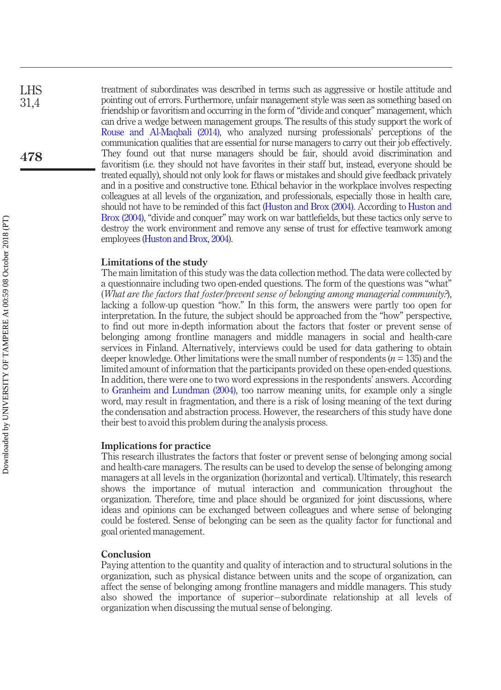treatment of subordinates was described in terms such as aggressive or hostile attitude and pointing out of errors. Furthermore, unfair management style was seen as something based on friendship or favoritism and occurring in the form of "divide and conquer" management, which can drive a wedge between management groups. The results of this study support the work of [Rouse and Al-Maqbali \(2014\)](#page-13-8), who analyzed nursing professionals' perceptions of the communication qualities that are essential for nurse managers to carry out their job effectively. They found out that nurse managers should be fair, should avoid discrimination and favoritism (i.e. they should not have favorites in their staff but, instead, everyone should be treated equally), should not only look for flaws or mistakes and should give feedback privately and in a positive and constructive tone. Ethical behavior in the workplace involves respecting colleagues at all levels of the organization, and professionals, especially those in health care, should not have to be reminded of this fact [\(Huston and Brox \(2004\)](#page-12-17). According to [Huston and](#page-12-17) [Brox \(2004\),](#page-12-17) "divide and conquer" may work on war battlefields, but these tactics only serve to destroy the work environment and remove any sense of trust for effective teamwork among employees [\(Huston and Brox, 2004](#page-12-17)).

#### Limitations of the study

The main limitation of this study was the data collection method. The data were collected by a questionnaire including two open-ended questions. The form of the questions was "what" (What are the factors that foster/prevent sense of belonging among managerial community?), lacking a follow-up question "how." In this form, the answers were partly too open for interpretation. In the future, the subject should be approached from the "how" perspective, to find out more in-depth information about the factors that foster or prevent sense of belonging among frontline managers and middle managers in social and health-care services in Finland. Alternatively, interviews could be used for data gathering to obtain deeper knowledge. Other limitations were the small number of respondents  $(n = 135)$  and the limited amount of information that the participants provided on these open-ended questions. In addition, there were one to two word expressions in the respondents' answers. According to [Granheim and Lundman \(2004\)](#page-12-8), too narrow meaning units, for example only a single word, may result in fragmentation, and there is a risk of losing meaning of the text during the condensation and abstraction process. However, the researchers of this study have done their best to avoid this problem during the analysis process.

#### Implications for practice

This research illustrates the factors that foster or prevent sense of belonging among social and health-care managers. The results can be used to develop the sense of belonging among managers at all levels in the organization (horizontal and vertical). Ultimately, this research shows the importance of mutual interaction and communication throughout the organization. Therefore, time and place should be organized for joint discussions, where ideas and opinions can be exchanged between colleagues and where sense of belonging could be fostered. Sense of belonging can be seen as the quality factor for functional and goal oriented management.

#### Conclusion

Paying attention to the quantity and quality of interaction and to structural solutions in the organization, such as physical distance between units and the scope of organization, can affect the sense of belonging among frontline managers and middle managers. This study also showed the importance of superior-subordinate relationship at all levels of organization when discussing the mutual sense of belonging.

LHS 31,4

478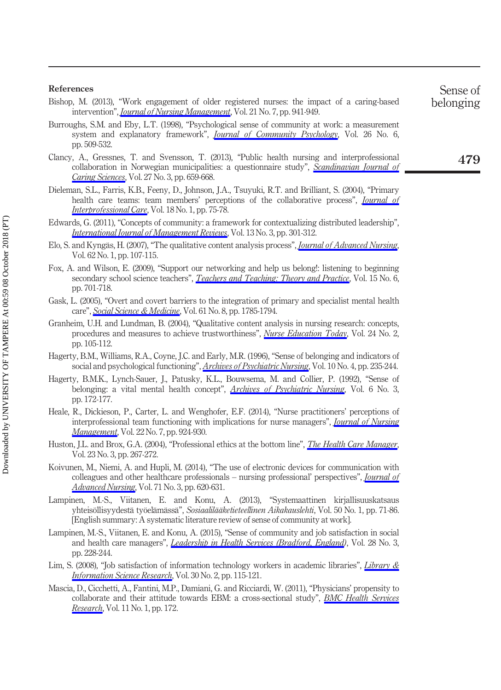#### References

- <span id="page-12-4"></span>Bishop, M. (2013), "Work engagement of older registered nurses: the impact of a caring-based intervention", [Journal of Nursing Management](https://www.emeraldinsight.com/action/showLinks?doi=10.1108%2FLHS-09-2017-0054&crossref=10.1111%2Fjonm.12182&isi=000329289100006&citationId=p_1), Vol. 21 No. 7, pp. 941-949.
- <span id="page-12-3"></span>Burroughs, S.M. and Eby, L.T. (1998), "Psychological sense of community at work: a measurement system and explanatory framework", *[Journal of Community Psychology](https://www.emeraldinsight.com/action/showLinks?doi=10.1108%2FLHS-09-2017-0054&crossref=10.1002%2F%28SICI%291520-6629%28199811%2926%3A6%3C509%3A%3AAID-JCOP1%3E3.0.CO%3B2-P&isi=000076781500001&citationId=p_2)*, Vol. 26 No. 6, pp. 509-532.
- <span id="page-12-15"></span>Clancy, A., Gressnes, T. and Svensson, T. (2013), "Public health nursing and interprofessional collaboration in Norwegian municipalities: a questionnaire study", *[Scandinavian Journal of](https://www.emeraldinsight.com/action/showLinks?doi=10.1108%2FLHS-09-2017-0054&crossref=10.1111%2Fj.1471-6712.2012.01079.x&isi=000321625800020&citationId=p_3)* [Caring Sciences](https://www.emeraldinsight.com/action/showLinks?doi=10.1108%2FLHS-09-2017-0054&crossref=10.1111%2Fj.1471-6712.2012.01079.x&isi=000321625800020&citationId=p_3), Vol. 27 No. 3, pp. 659-668. 479
- <span id="page-12-11"></span>Dieleman, S.L., Farris, K.B., Feeny, D., Johnson, J.A., Tsuyuki, R.T. and Brilliant, S. (2004), "Primary health care teams: team members' perceptions of the collaborative process", *[Journal of](https://www.emeraldinsight.com/action/showLinks?doi=10.1108%2FLHS-09-2017-0054&crossref=10.1080%2F13561820410001639370&citationId=p_4)* [Interprofessional Care](https://www.emeraldinsight.com/action/showLinks?doi=10.1108%2FLHS-09-2017-0054&crossref=10.1080%2F13561820410001639370&citationId=p_4), Vol. 18 No. 1, pp. 75-78.
- <span id="page-12-2"></span>Edwards, G. (2011), "Concepts of community: a framework for contextualizing distributed leadership", [International Journal of Management Reviews](https://www.emeraldinsight.com/action/showLinks?doi=10.1108%2FLHS-09-2017-0054&crossref=10.1111%2Fj.1468-2370.2011.00309.x&isi=000293910700005&citationId=p_5), Vol. 13 No. 3, pp. 301-312.
- <span id="page-12-9"></span>Elo, S. and Kyngäs, H. (2007), "The qualitative content analysis process", [Journal of Advanced Nursing](https://www.emeraldinsight.com/action/showLinks?doi=10.1108%2FLHS-09-2017-0054&crossref=10.1111%2Fj.1365-2648.2007.04569.x&isi=000254192000012&citationId=p_6), Vol. 62 No. 1, pp. 107-115.
- <span id="page-12-10"></span>Fox, A. and Wilson, E. (2009), "Support our networking and help us belong!: listening to beginning secondary school science teachers", [Teachers and Teaching: Theory and Practice](https://www.emeraldinsight.com/action/showLinks?doi=10.1108%2FLHS-09-2017-0054&crossref=10.1080%2F13540600903357025&isi=000208093100005&citationId=p_7), Vol. 15 No. 6, pp. 701-718.
- <span id="page-12-13"></span>Gask, L. (2005), "Overt and covert barriers to the integration of primary and specialist mental health care", [Social Science & Medicine](https://www.emeraldinsight.com/action/showLinks?doi=10.1108%2FLHS-09-2017-0054&crossref=10.1016%2Fj.socscimed.2005.03.038&isi=000231462700017&citationId=p_8), Vol. 61 No. 8, pp. 1785-1794.
- <span id="page-12-8"></span>Granheim, U.H. and Lundman, B. (2004), "Qualitative content analysis in nursing research: concepts, procedures and measures to achieve trustworthiness", *[Nurse Education Today](https://www.emeraldinsight.com/action/showLinks?doi=10.1108%2FLHS-09-2017-0054&crossref=10.1016%2Fj.nedt.2003.10.001&isi=000188999000007&citationId=p_9)*, Vol. 24 No. 2, pp. 105-112.
- <span id="page-12-0"></span>Hagerty, B.M., Williams, R.A., Coyne, J.C. and Early, M.R. (1996), "Sense of belonging and indicators of social and psychological functioning", *[Archives of Psychiatric Nursing](https://www.emeraldinsight.com/action/showLinks?doi=10.1108%2FLHS-09-2017-0054&crossref=10.1016%2FS0883-9417%2896%2980029-X&isi=A1996VB68800007&citationId=p_10)*, Vol. 10 No. 4, pp. 235-244.
- <span id="page-12-1"></span>Hagerty, B.M.K., Lynch-Sauer, J., Patusky, K.L., Bouwsema, M. and Collier, P. (1992), "Sense of belonging: a vital mental health concept", *[Archives of Psychiatric Nursing](https://www.emeraldinsight.com/action/showLinks?doi=10.1108%2FLHS-09-2017-0054&crossref=10.1016%2F0883-9417%2892%2990028-H&citationId=p_11)*, Vol. 6 No. 3, pp. 172-177.
- <span id="page-12-12"></span>Heale, R., Dickieson, P., Carter, L. and Wenghofer, E.F. (2014), "Nurse practitioners' perceptions of interprofessional team functioning with implications for nurse managers", *[Journal of Nursing](https://www.emeraldinsight.com/action/showLinks?doi=10.1108%2FLHS-09-2017-0054&crossref=10.1111%2Fjonm.12054&isi=000343756300011&citationId=p_12)* [Management](https://www.emeraldinsight.com/action/showLinks?doi=10.1108%2FLHS-09-2017-0054&crossref=10.1111%2Fjonm.12054&isi=000343756300011&citationId=p_12), Vol. 22 No. 7, pp. 924-930.
- <span id="page-12-17"></span>Huston, J.L. and Brox, G.A. (2004), "Professional ethics at the bottom line", *[The Health Care Manager](https://www.emeraldinsight.com/action/showLinks?doi=10.1108%2FLHS-09-2017-0054&crossref=10.1097%2F00126450-200407000-00011&citationId=p_13)*. Vol. 23 No. 3, pp. 267-272.
- <span id="page-12-16"></span>Koivunen, M., Niemi, A. and Hupli, M. (2014), "The use of electronic devices for communication with colleagues and other healthcare professionals – nursing professional' perspectives", *[Journal of](https://www.emeraldinsight.com/action/showLinks?doi=10.1108%2FLHS-09-2017-0054&crossref=10.1111%2Fjan.12529&isi=000349622600014&citationId=p_14)* [Advanced Nursing](https://www.emeraldinsight.com/action/showLinks?doi=10.1108%2FLHS-09-2017-0054&crossref=10.1111%2Fjan.12529&isi=000349622600014&citationId=p_14), Vol. 71 No. 3, pp. 620-631.
- <span id="page-12-7"></span>Lampinen, M.-S., Viitanen, E. and Konu, A. (2013), "Systemaattinen kirjallisuuskatsaus yhteisöllisyydestä työelämässä", Sosiaalilääketieteellinen Aikakauslehti, Vol. 50 No. 1, pp. 71-86. [English summary: A systematic literature review of sense of community at work].
- <span id="page-12-6"></span>Lampinen, M.-S., Viitanen, E. and Konu, A. (2015), "Sense of community and job satisfaction in social and health care managers", *[Leadership in Health Services \(Bradford, England\)](https://www.emeraldinsight.com/action/showLinks?doi=10.1108%2FLHS-09-2017-0054&system=10.1108%2FLHS-09-2014-0067&citationId=p_16)*, Vol. 28 No. 3, pp. 228-244.
- <span id="page-12-5"></span>Lim, S. (2008), "Job satisfaction of information technology workers in academic libraries", *[Library &](https://www.emeraldinsight.com/action/showLinks?doi=10.1108%2FLHS-09-2017-0054&crossref=10.1016%2Fj.lisr.2007.10.002&isi=000257133400008&citationId=p_17)* [Information Science Research](https://www.emeraldinsight.com/action/showLinks?doi=10.1108%2FLHS-09-2017-0054&crossref=10.1016%2Fj.lisr.2007.10.002&isi=000257133400008&citationId=p_17), Vol. 30 No. 2, pp. 115-121.
- <span id="page-12-14"></span>Mascia, D., Cicchetti, A., Fantini, M.P., Damiani, G. and Ricciardi, W. (2011), "Physicians' propensity to collaborate and their attitude towards EBM: a cross-sectional study", [BMC Health Services](https://www.emeraldinsight.com/action/showLinks?doi=10.1108%2FLHS-09-2017-0054&crossref=10.1186%2F1472-6963-11-172&citationId=p_18) [Research](https://www.emeraldinsight.com/action/showLinks?doi=10.1108%2FLHS-09-2017-0054&crossref=10.1186%2F1472-6963-11-172&citationId=p_18), Vol. 11 No. 1, pp. 172.

Sense of belonging